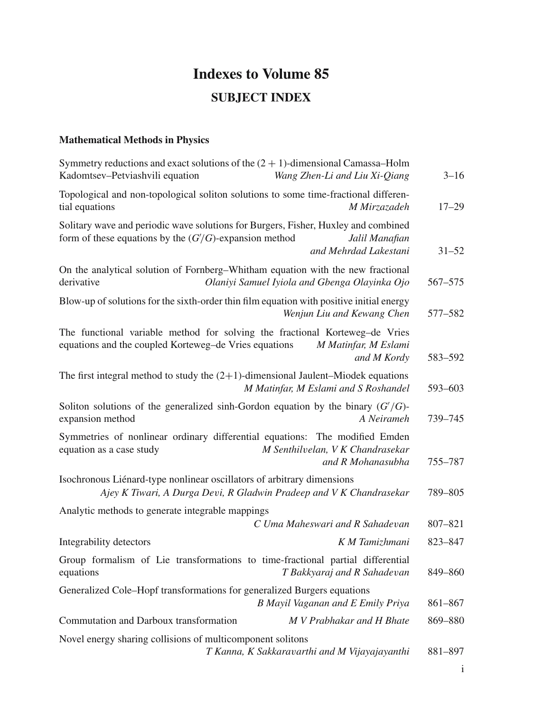# **Indexes to Volume 85 SUBJECT INDEX**

#### **Mathematical Methods in Physics**

| Symmetry reductions and exact solutions of the $(2 + 1)$ -dimensional Camassa-Holm<br>Kadomtsev-Petviashvili equation<br>Wang Zhen-Li and Liu Xi-Qiang                                    | $3 - 16$  |
|-------------------------------------------------------------------------------------------------------------------------------------------------------------------------------------------|-----------|
| Topological and non-topological soliton solutions to some time-fractional differen-<br>tial equations<br>M Mirzazadeh                                                                     | $17 - 29$ |
| Solitary wave and periodic wave solutions for Burgers, Fisher, Huxley and combined<br>form of these equations by the $(G/G)$ -expansion method<br>Jalil Manafian<br>and Mehrdad Lakestani | $31 - 52$ |
| On the analytical solution of Fornberg-Whitham equation with the new fractional<br>derivative<br>Olaniyi Samuel Iyiola and Gbenga Olayinka Ojo                                            | 567–575   |
| Blow-up of solutions for the sixth-order thin film equation with positive initial energy<br>Wenjun Liu and Kewang Chen                                                                    | 577–582   |
| The functional variable method for solving the fractional Korteweg-de Vries<br>equations and the coupled Korteweg-de Vries equations<br>M Matinfar, M Eslami<br>and M Kordy               | 583-592   |
| The first integral method to study the $(2+1)$ -dimensional Jaulent-Miodek equations<br>M Matinfar, M Eslami and S Roshandel                                                              | 593-603   |
| Soliton solutions of the generalized sinh-Gordon equation by the binary $(G'/G)$ -<br>expansion method<br>A Neirameh                                                                      | 739-745   |
| Symmetries of nonlinear ordinary differential equations: The modified Emden<br>equation as a case study<br>M Senthilvelan, V K Chandrasekar<br>and R Mohanasubha                          | 755-787   |
| Isochronous Liénard-type nonlinear oscillators of arbitrary dimensions<br>Ajey K Tiwari, A Durga Devi, R Gladwin Pradeep and V K Chandrasekar                                             | 789-805   |
| Analytic methods to generate integrable mappings<br>C Uma Maheswari and R Sahadevan                                                                                                       | 807-821   |
| Integrability detectors<br>K M Tamizhmani                                                                                                                                                 | 823-847   |
| Group formalism of Lie transformations to time-fractional partial differential<br>equations<br>T Bakkyaraj and R Sahadevan                                                                | 849-860   |
| Generalized Cole-Hopf transformations for generalized Burgers equations<br>B Mayil Vaganan and E Emily Priya                                                                              | 861-867   |
| Commutation and Darboux transformation<br>M V Prabhakar and H Bhate                                                                                                                       | 869-880   |
| Novel energy sharing collisions of multicomponent solitons<br>T Kanna, K Sakkaravarthi and M Vijayajayanthi                                                                               | 881-897   |

i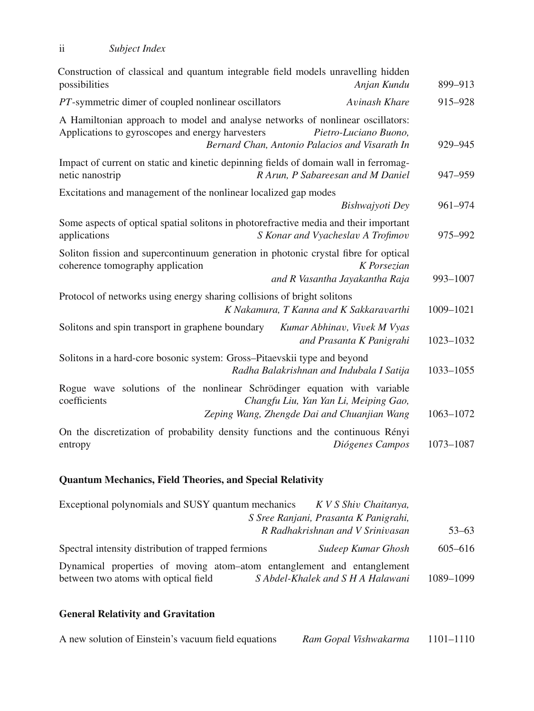| Construction of classical and quantum integrable field models unravelling hidden<br>possibilities<br>Anjan Kundu                                                                                              | 899-913   |
|---------------------------------------------------------------------------------------------------------------------------------------------------------------------------------------------------------------|-----------|
| PT-symmetric dimer of coupled nonlinear oscillators<br>Avinash Khare                                                                                                                                          | 915-928   |
| A Hamiltonian approach to model and analyse networks of nonlinear oscillators:<br>Applications to gyroscopes and energy harvesters<br>Pietro-Luciano Buono,<br>Bernard Chan, Antonio Palacios and Visarath In | 929-945   |
| Impact of current on static and kinetic depinning fields of domain wall in ferromag-<br>R Arun, P Sabareesan and M Daniel<br>netic nanostrip                                                                  | 947-959   |
| Excitations and management of the nonlinear localized gap modes<br>Bishwajyoti Dey                                                                                                                            | 961-974   |
| Some aspects of optical spatial solitons in photorefractive media and their important<br>S Konar and Vyacheslav A Trofimov<br>applications                                                                    | 975-992   |
| Soliton fission and supercontinuum generation in photonic crystal fibre for optical<br>K Porsezian<br>coherence tomography application<br>and R Vasantha Jayakantha Raja                                      | 993-1007  |
| Protocol of networks using energy sharing collisions of bright solitons<br>K Nakamura, T Kanna and K Sakkaravarthi                                                                                            | 1009-1021 |
| Solitons and spin transport in graphene boundary<br>Kumar Abhinav, Vivek M Vyas<br>and Prasanta K Panigrahi                                                                                                   | 1023-1032 |
| Solitons in a hard-core bosonic system: Gross-Pitaevskii type and beyond<br>Radha Balakrishnan and Indubala I Satija                                                                                          | 1033-1055 |
| Rogue wave solutions of the nonlinear Schrödinger equation with variable<br>coefficients<br>Changfu Liu, Yan Yan Li, Meiping Gao,<br>Zeping Wang, Zhengde Dai and Chuanjian Wang                              | 1063-1072 |
| On the discretization of probability density functions and the continuous Rényi<br>Diógenes Campos<br>entropy                                                                                                 | 1073-1087 |

## **Quantum Mechanics, Field Theories, and Special Relativity**

| Exceptional polynomials and SUSY quantum mechanics K V S Shiv Chaitanya,                                                                            |           |
|-----------------------------------------------------------------------------------------------------------------------------------------------------|-----------|
| S Sree Ranjani, Prasanta K Panigrahi,<br>R Radhakrishnan and V Srinivasan                                                                           | $53 - 63$ |
| Spectral intensity distribution of trapped fermions<br>Sudeep Kumar Ghosh                                                                           | 605-616   |
| Dynamical properties of moving atom-atom entanglement and entanglement<br>between two atoms with optical field<br>S Abdel-Khalek and S H A Halawani | 1089-1099 |

## **General Relativity and Gravitation**

|  | A new solution of Einstein's vacuum field equations | Ram Gopal Vishwakarma | 1101–1110 |
|--|-----------------------------------------------------|-----------------------|-----------|
|--|-----------------------------------------------------|-----------------------|-----------|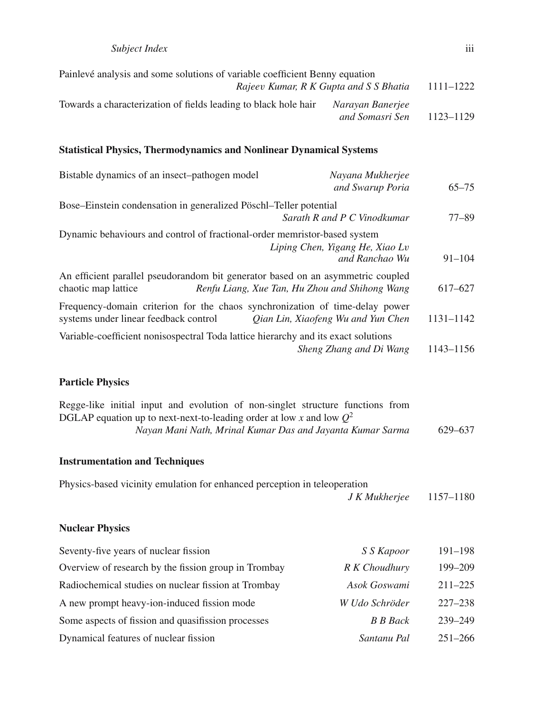| Painlevé analysis and some solutions of variable coefficient Benny equation |                                        |           |
|-----------------------------------------------------------------------------|----------------------------------------|-----------|
|                                                                             | Rajeev Kumar, R K Gupta and S S Bhatia | 1111-1222 |
| Towards a characterization of fields leading to black hole hair             | Narayan Banerjee<br>and Somasri Sen    | 1123-1129 |

#### **Statistical Physics, Thermodynamics and Nonlinear Dynamical Systems**

| Bistable dynamics of an insect-pathogen model                                                                         | Nayana Mukherjee<br>and Swarup Poria           | $65 - 75$  |
|-----------------------------------------------------------------------------------------------------------------------|------------------------------------------------|------------|
| Bose–Einstein condensation in generalized Pöschl–Teller potential                                                     | Sarath R and P C Vinodkumar                    | $77 - 89$  |
| Dynamic behaviours and control of fractional-order memristor-based system                                             | Liping Chen, Yigang He, Xiao Lv                |            |
|                                                                                                                       | and Ranchao Wu                                 | $91 - 104$ |
| An efficient parallel pseudorandom bit generator based on an asymmetric coupled<br>chaotic map lattice                | Renfu Liang, Xue Tan, Hu Zhou and Shihong Wang | 617–627    |
| Frequency-domain criterion for the chaos synchronization of time-delay power<br>systems under linear feedback control | Qian Lin, Xiaofeng Wu and Yun Chen             | 1131-1142  |
| Variable-coefficient nonisospectral Toda lattice hierarchy and its exact solutions                                    | Sheng Zhang and Di Wang                        | 1143-1156  |

#### **Particle Physics**

| Regge-like initial input and evolution of non-singlet structure functions from |         |
|--------------------------------------------------------------------------------|---------|
| DGLAP equation up to next-next-to-leading order at low x and low $Q^2$         |         |
| Nayan Mani Nath, Mrinal Kumar Das and Jayanta Kumar Sarma                      | 629–637 |

#### **Instrumentation and Techniques**

| Physics-based vicinity emulation for enhanced perception in teleoperation |                           |  |
|---------------------------------------------------------------------------|---------------------------|--|
|                                                                           | $J K Mukherjee 1157-1180$ |  |

#### **Nuclear Physics**

| Seventy-five years of nuclear fission                | S S Kapoor      | $191 - 198$ |
|------------------------------------------------------|-----------------|-------------|
| Overview of research by the fission group in Trombay | R K Choudhury   | $199 - 209$ |
| Radiochemical studies on nuclear fission at Trombay  | Asok Goswami    | $211 - 225$ |
| A new prompt heavy-ion-induced fission mode          | W Udo Schröder  | $227 - 238$ |
| Some aspects of fission and quasifission processes   | <b>B</b> B Back | 239-249     |
| Dynamical features of nuclear fission                | Santanu Pal     | $251 - 266$ |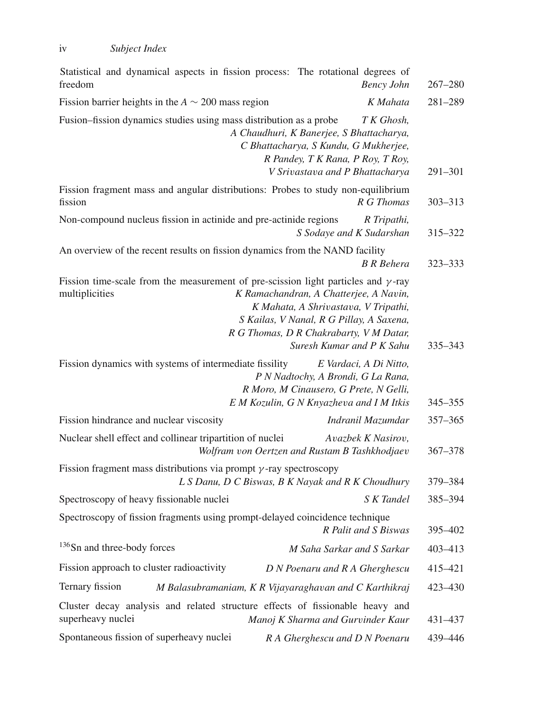| Statistical and dynamical aspects in fission process: The rotational degrees of<br>freedom                  | <b>Bency John</b>                                                                                                                                                                                  | $267 - 280$ |
|-------------------------------------------------------------------------------------------------------------|----------------------------------------------------------------------------------------------------------------------------------------------------------------------------------------------------|-------------|
| Fission barrier heights in the $A \sim 200$ mass region                                                     | K Mahata                                                                                                                                                                                           | 281-289     |
| Fusion–fission dynamics studies using mass distribution as a probe                                          | T K Ghosh,<br>A Chaudhuri, K Banerjee, S Bhattacharya,<br>C Bhattacharya, S Kundu, G Mukherjee,<br>R Pandey, T K Rana, P Roy, T Roy,<br>V Srivastava and P Bhattacharya                            | 291-301     |
| Fission fragment mass and angular distributions: Probes to study non-equilibrium<br>fission                 | R G Thomas                                                                                                                                                                                         | $303 - 313$ |
| Non-compound nucleus fission in actinide and pre-actinide regions                                           | R Tripathi,<br>S Sodaye and K Sudarshan                                                                                                                                                            | 315-322     |
| An overview of the recent results on fission dynamics from the NAND facility                                | <b>B</b> R Behera                                                                                                                                                                                  | 323-333     |
| Fission time-scale from the measurement of pre-scission light particles and $\gamma$ -ray<br>multiplicities | K Ramachandran, A Chatterjee, A Navin,<br>K Mahata, A Shrivastava, V Tripathi,<br>S Kailas, V Nanal, R G Pillay, A Saxena,<br>R G Thomas, D R Chakrabarty, V M Datar,<br>Suresh Kumar and P K Sahu | 335-343     |
| Fission dynamics with systems of intermediate fissility                                                     | E Vardaci, A Di Nitto,<br>P N Nadtochy, A Brondi, G La Rana,<br>R Moro, M Cinausero, G Prete, N Gelli,<br>E M Kozulin, G N Knyazheva and I M Itkis                                                 | 345-355     |
| Fission hindrance and nuclear viscosity                                                                     | Indranil Mazumdar                                                                                                                                                                                  | 357-365     |
| Nuclear shell effect and collinear tripartition of nuclei                                                   | Avazbek K Nasirov,<br>Wolfram von Oertzen and Rustam B Tashkhodjaev                                                                                                                                | 367-378     |
| Fission fragment mass distributions via prompt $\gamma$ -ray spectroscopy                                   | L S Danu, D C Biswas, B K Nayak and R K Choudhury                                                                                                                                                  | 379-384     |
| Spectroscopy of heavy fissionable nuclei                                                                    | S K Tandel                                                                                                                                                                                         | 385-394     |
| Spectroscopy of fission fragments using prompt-delayed coincidence technique                                | R Palit and S Biswas                                                                                                                                                                               | 395-402     |
| <sup>136</sup> Sn and three-body forces                                                                     | M Saha Sarkar and S Sarkar                                                                                                                                                                         | 403-413     |
| Fission approach to cluster radioactivity                                                                   | D N Poenaru and R A Gherghescu                                                                                                                                                                     | 415-421     |
| Ternary fission                                                                                             | M Balasubramaniam, K R Vijayaraghavan and C Karthikraj                                                                                                                                             | 423-430     |
| Cluster decay analysis and related structure effects of fissionable heavy and<br>superheavy nuclei          | Manoj K Sharma and Gurvinder Kaur                                                                                                                                                                  | 431-437     |
| Spontaneous fission of superheavy nuclei                                                                    | R A Gherghescu and D N Poenaru                                                                                                                                                                     | 439-446     |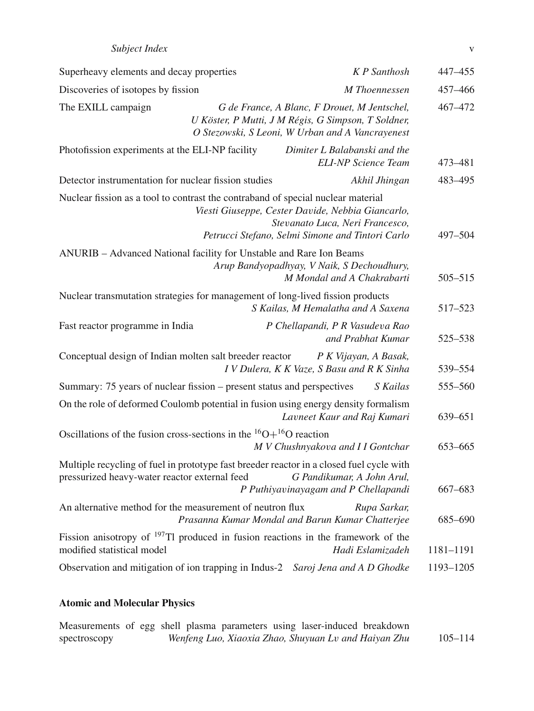| Subject Index |  |
|---------------|--|
|---------------|--|

| Superheavy elements and decay properties                                                                                                  |                                                                                                         | <b>K</b> P Santhosh                                                      | 447-455     |
|-------------------------------------------------------------------------------------------------------------------------------------------|---------------------------------------------------------------------------------------------------------|--------------------------------------------------------------------------|-------------|
| Discoveries of isotopes by fission                                                                                                        |                                                                                                         | M Thoennessen                                                            | 457-466     |
| The EXILL campaign                                                                                                                        | U Köster, P Mutti, J M Régis, G Simpson, T Soldner,<br>O Stezowski, S Leoni, W Urban and A Vancrayenest | G de France, A Blanc, F Drouet, M Jentschel,                             | 467-472     |
| Photofission experiments at the ELI-NP facility                                                                                           |                                                                                                         | Dimiter L Balabanski and the<br><b>ELI-NP</b> Science Team               | 473-481     |
| Detector instrumentation for nuclear fission studies                                                                                      |                                                                                                         | Akhil Jhingan                                                            | 483-495     |
| Nuclear fission as a tool to contrast the contraband of special nuclear material                                                          | Viesti Giuseppe, Cester Davide, Nebbia Giancarlo,<br>Petrucci Stefano, Selmi Simone and Tintori Carlo   | Stevanato Luca, Neri Francesco,                                          | $497 - 504$ |
| ANURIB - Advanced National facility for Unstable and Rare Ion Beams                                                                       |                                                                                                         |                                                                          |             |
|                                                                                                                                           |                                                                                                         | Arup Bandyopadhyay, V Naik, S Dechoudhury,<br>M Mondal and A Chakrabarti | $505 - 515$ |
| Nuclear transmutation strategies for management of long-lived fission products                                                            |                                                                                                         | S Kailas, M Hemalatha and A Saxena                                       | 517-523     |
| Fast reactor programme in India                                                                                                           |                                                                                                         | P Chellapandi, P R Vasudeva Rao<br>and Prabhat Kumar                     | 525-538     |
| Conceptual design of Indian molten salt breeder reactor                                                                                   |                                                                                                         | P K Vijayan, A Basak,<br>I V Dulera, K K Vaze, S Basu and R K Sinha      | 539-554     |
| Summary: 75 years of nuclear fission – present status and perspectives                                                                    |                                                                                                         | S Kailas                                                                 | 555-560     |
| On the role of deformed Coulomb potential in fusion using energy density formalism                                                        |                                                                                                         | Lavneet Kaur and Raj Kumari                                              | 639-651     |
| Oscillations of the fusion cross-sections in the ${}^{16}O+{}^{16}O$ reaction                                                             |                                                                                                         | M V Chushnyakova and I I Gontchar                                        | 653-665     |
| Multiple recycling of fuel in prototype fast breeder reactor in a closed fuel cycle with<br>pressurized heavy-water reactor external feed |                                                                                                         | G Pandikumar, A John Arul,<br>P Puthiyavinayagam and P Chellapandi       | 667-683     |
| An alternative method for the measurement of neutron flux                                                                                 | Prasanna Kumar Mondal and Barun Kumar Chatterjee                                                        | Rupa Sarkar,                                                             | 685-690     |
| Fission anisotropy of $197$ Tl produced in fusion reactions in the framework of the<br>modified statistical model                         |                                                                                                         | Hadi Eslamizadeh                                                         | 1181-1191   |
| Observation and mitigation of ion trapping in Indus-2 Saroj Jena and A D Ghodke                                                           |                                                                                                         |                                                                          | 1193-1205   |
|                                                                                                                                           |                                                                                                         |                                                                          |             |

# **Atomic and Molecular Physics**

| Measurements of egg shell plasma parameters using laser-induced breakdown |  |  |  |                                                      |  |             |
|---------------------------------------------------------------------------|--|--|--|------------------------------------------------------|--|-------------|
| spectroscopy                                                              |  |  |  | Wenfeng Luo, Xiaoxia Zhao, Shuyuan Lv and Haiyan Zhu |  | $105 - 114$ |